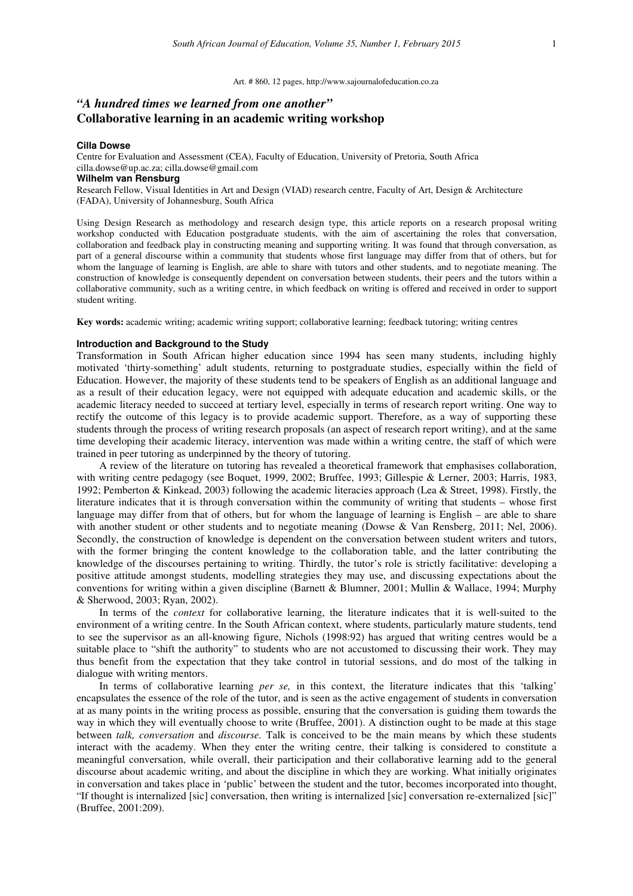#### Art. # 860, 12 pages, http://www.sajournalofeducation.co.za

# *"A hundred times we learned from one another"*  **Collaborative learning in an academic writing workshop**

### **Cilla Dowse**

Centre for Evaluation and Assessment (CEA), Faculty of Education, University of Pretoria, South Africa cilla.dowse@up.ac.za; cilla.dowse@gmail.com **Wilhelm van Rensburg**  Research Fellow, Visual Identities in Art and Design (VIAD) research centre, Faculty of Art, Design & Architecture

(FADA), University of Johannesburg, South Africa

Using Design Research as methodology and research design type, this article reports on a research proposal writing workshop conducted with Education postgraduate students, with the aim of ascertaining the roles that conversation, collaboration and feedback play in constructing meaning and supporting writing. It was found that through conversation, as part of a general discourse within a community that students whose first language may differ from that of others, but for whom the language of learning is English, are able to share with tutors and other students, and to negotiate meaning. The construction of knowledge is consequently dependent on conversation between students, their peers and the tutors within a collaborative community, such as a writing centre, in which feedback on writing is offered and received in order to support student writing.

**Key words:** academic writing; academic writing support; collaborative learning; feedback tutoring; writing centres

# **Introduction and Background to the Study**

Transformation in South African higher education since 1994 has seen many students, including highly motivated 'thirty-something' adult students, returning to postgraduate studies, especially within the field of Education. However, the majority of these students tend to be speakers of English as an additional language and as a result of their education legacy, were not equipped with adequate education and academic skills, or the academic literacy needed to succeed at tertiary level, especially in terms of research report writing. One way to rectify the outcome of this legacy is to provide academic support. Therefore, as a way of supporting these students through the process of writing research proposals (an aspect of research report writing), and at the same time developing their academic literacy, intervention was made within a writing centre, the staff of which were trained in peer tutoring as underpinned by the theory of tutoring.

A review of the literature on tutoring has revealed a theoretical framework that emphasises collaboration, with writing centre pedagogy (see Boquet, 1999, 2002; Bruffee, 1993; Gillespie & Lerner, 2003; Harris, 1983, 1992; Pemberton & Kinkead, 2003) following the academic literacies approach (Lea & Street, 1998). Firstly, the literature indicates that it is through conversation within the community of writing that students – whose first language may differ from that of others, but for whom the language of learning is English – are able to share with another student or other students and to negotiate meaning (Dowse & Van Rensberg, 2011; Nel, 2006). Secondly, the construction of knowledge is dependent on the conversation between student writers and tutors, with the former bringing the content knowledge to the collaboration table, and the latter contributing the knowledge of the discourses pertaining to writing. Thirdly, the tutor's role is strictly facilitative: developing a positive attitude amongst students, modelling strategies they may use, and discussing expectations about the conventions for writing within a given discipline (Barnett & Blumner, 2001; Mullin & Wallace, 1994; Murphy & Sherwood, 2003; Ryan, 2002).

In terms of the *context* for collaborative learning, the literature indicates that it is well-suited to the environment of a writing centre. In the South African context, where students, particularly mature students, tend to see the supervisor as an all-knowing figure, Nichols (1998:92) has argued that writing centres would be a suitable place to "shift the authority" to students who are not accustomed to discussing their work. They may thus benefit from the expectation that they take control in tutorial sessions, and do most of the talking in dialogue with writing mentors.

In terms of collaborative learning *per se,* in this context, the literature indicates that this 'talking' encapsulates the essence of the role of the tutor, and is seen as the active engagement of students in conversation at as many points in the writing process as possible, ensuring that the conversation is guiding them towards the way in which they will eventually choose to write (Bruffee, 2001). A distinction ought to be made at this stage between *talk, conversation* and *discourse.* Talk is conceived to be the main means by which these students interact with the academy. When they enter the writing centre, their talking is considered to constitute a meaningful conversation, while overall, their participation and their collaborative learning add to the general discourse about academic writing, and about the discipline in which they are working. What initially originates in conversation and takes place in 'public' between the student and the tutor, becomes incorporated into thought, "If thought is internalized [sic] conversation, then writing is internalized [sic] conversation re-externalized [sic]" (Bruffee, 2001:209).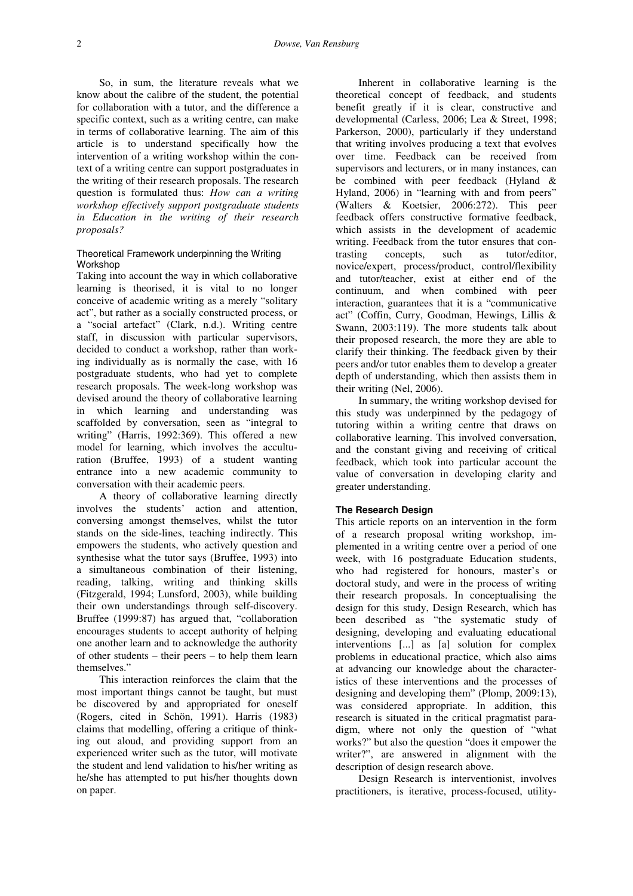So, in sum, the literature reveals what we know about the calibre of the student, the potential for collaboration with a tutor, and the difference a specific context, such as a writing centre, can make in terms of collaborative learning. The aim of this article is to understand specifically how the intervention of a writing workshop within the context of a writing centre can support postgraduates in the writing of their research proposals. The research question is formulated thus: *How can a writing workshop effectively support postgraduate students in Education in the writing of their research proposals?*

### Theoretical Framework underpinning the Writing Workshop

Taking into account the way in which collaborative learning is theorised, it is vital to no longer conceive of academic writing as a merely "solitary act", but rather as a socially constructed process, or a "social artefact" (Clark, n.d.). Writing centre staff, in discussion with particular supervisors, decided to conduct a workshop, rather than working individually as is normally the case, with 16 postgraduate students, who had yet to complete research proposals. The week-long workshop was devised around the theory of collaborative learning in which learning and understanding was scaffolded by conversation, seen as "integral to writing" (Harris, 1992:369). This offered a new model for learning, which involves the acculturation (Bruffee, 1993) of a student wanting entrance into a new academic community to conversation with their academic peers.

A theory of collaborative learning directly involves the students' action and attention, conversing amongst themselves, whilst the tutor stands on the side-lines, teaching indirectly. This empowers the students, who actively question and synthesise what the tutor says (Bruffee, 1993) into a simultaneous combination of their listening, reading, talking, writing and thinking skills (Fitzgerald, 1994; Lunsford, 2003), while building their own understandings through self-discovery. Bruffee (1999:87) has argued that, "collaboration encourages students to accept authority of helping one another learn and to acknowledge the authority of other students – their peers – to help them learn themselves."

This interaction reinforces the claim that the most important things cannot be taught, but must be discovered by and appropriated for oneself (Rogers, cited in Schön, 1991). Harris (1983) claims that modelling, offering a critique of thinking out aloud, and providing support from an experienced writer such as the tutor, will motivate the student and lend validation to his/her writing as he/she has attempted to put his/her thoughts down on paper.

Inherent in collaborative learning is the theoretical concept of feedback, and students benefit greatly if it is clear, constructive and developmental (Carless, 2006; Lea & Street, 1998; Parkerson, 2000), particularly if they understand that writing involves producing a text that evolves over time. Feedback can be received from supervisors and lecturers, or in many instances, can be combined with peer feedback (Hyland & Hyland, 2006) in "learning with and from peers" (Walters & Koetsier, 2006:272). This peer feedback offers constructive formative feedback, which assists in the development of academic writing. Feedback from the tutor ensures that contrasting concepts, such as tutor/editor, novice/expert, process/product, control/flexibility and tutor/teacher, exist at either end of the continuum, and when combined with peer interaction, guarantees that it is a "communicative act" (Coffin, Curry, Goodman, Hewings, Lillis & Swann, 2003:119). The more students talk about their proposed research, the more they are able to clarify their thinking. The feedback given by their peers and/or tutor enables them to develop a greater depth of understanding, which then assists them in their writing (Nel, 2006).

In summary, the writing workshop devised for this study was underpinned by the pedagogy of tutoring within a writing centre that draws on collaborative learning. This involved conversation, and the constant giving and receiving of critical feedback, which took into particular account the value of conversation in developing clarity and greater understanding.

### **The Research Design**

This article reports on an intervention in the form of a research proposal writing workshop, implemented in a writing centre over a period of one week, with 16 postgraduate Education students, who had registered for honours, master's or doctoral study, and were in the process of writing their research proposals. In conceptualising the design for this study, Design Research, which has been described as "the systematic study of designing, developing and evaluating educational interventions [...] as [a] solution for complex problems in educational practice, which also aims at advancing our knowledge about the characteristics of these interventions and the processes of designing and developing them" (Plomp, 2009:13), was considered appropriate. In addition, this research is situated in the critical pragmatist paradigm, where not only the question of "what works?" but also the question "does it empower the writer?", are answered in alignment with the description of design research above.

Design Research is interventionist, involves practitioners, is iterative, process-focused, utility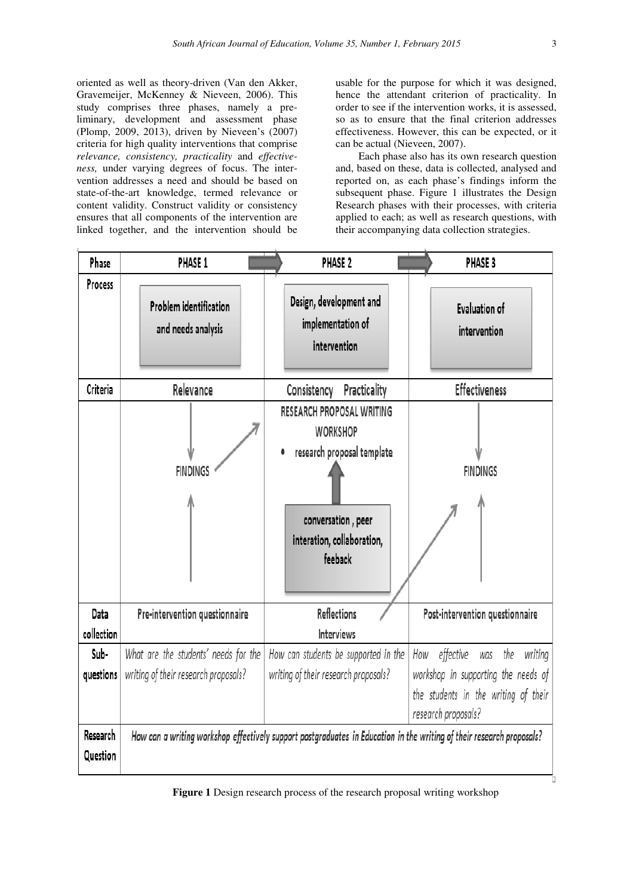oriented as well as theory-driven (Van den Akker, Gravemeijer, McKenney & Nieveen, 2006). This study comprises three phases, namely a preliminary, development and assessment phase (Plomp, 2009, 2013), driven by Nieveen's (2007) criteria for high quality interventions that comprise *relevance, consistency, practicality* and *effectiveness,* under varying degrees of focus. The intervention addresses a need and should be based on state-of-the-art knowledge, termed relevance or content validity. Construct validity or consistency ensures that all components of the intervention are linked together, and the intervention should be usable for the purpose for which it was designed, hence the attendant criterion of practicality. In order to see if the intervention works, it is assessed, so as to ensure that the final criterion addresses effectiveness. However, this can be expected, or it can be actual (Nieveen, 2007).

Each phase also has its own research question and, based on these, data is collected, analysed and reported on, as each phase's findings inform the subsequent phase. Figure 1 illustrates the Design Research phases with their processes, with criteria applied to each; as well as research questions, with their accompanying data collection strategies.

| Phase                | PHASE 1                                      | PHASE 2                                                                                                                                               | PHASE 3                                                                                            |
|----------------------|----------------------------------------------|-------------------------------------------------------------------------------------------------------------------------------------------------------|----------------------------------------------------------------------------------------------------|
| Process              | Problem identification<br>and needs analysis | Design, development and<br>implementation of<br>intervention                                                                                          | <b>Evaluation of</b><br>intervention                                                               |
| Criteria             | Relevance                                    | Consistency<br>Practicality                                                                                                                           | <b>Effectiveness</b>                                                                               |
|                      | <b>FINDINGS</b>                              | <b>RESEARCH PROPOSAL WRITING</b><br><b>WORKSHOP</b><br>research proposal template<br>٠<br>conversation, peer<br>interation, collaboration,<br>feeback | <b>FINDINGS</b>                                                                                    |
| Data                 | Pre-intervention questionnaire               | <b>Reflections</b>                                                                                                                                    | Post-intervention questionnaire                                                                    |
| collection           |                                              | <b>Interviews</b>                                                                                                                                     |                                                                                                    |
| Sub-                 | What are the students' needs for the         | How can students be supported in the                                                                                                                  | effective<br>the<br>How<br>writing<br>was                                                          |
| questions            | writing of their research proposals?         | writing of their research proposals?                                                                                                                  | workshop in supporting the needs of<br>the students in the writing of their<br>research proposals? |
| Research<br>Question |                                              | How can a writing workshop effectively support postgraduates in Education in the writing of their research proposals?                                 |                                                                                                    |

**Figure 1** Design research process of the research proposal writing workshop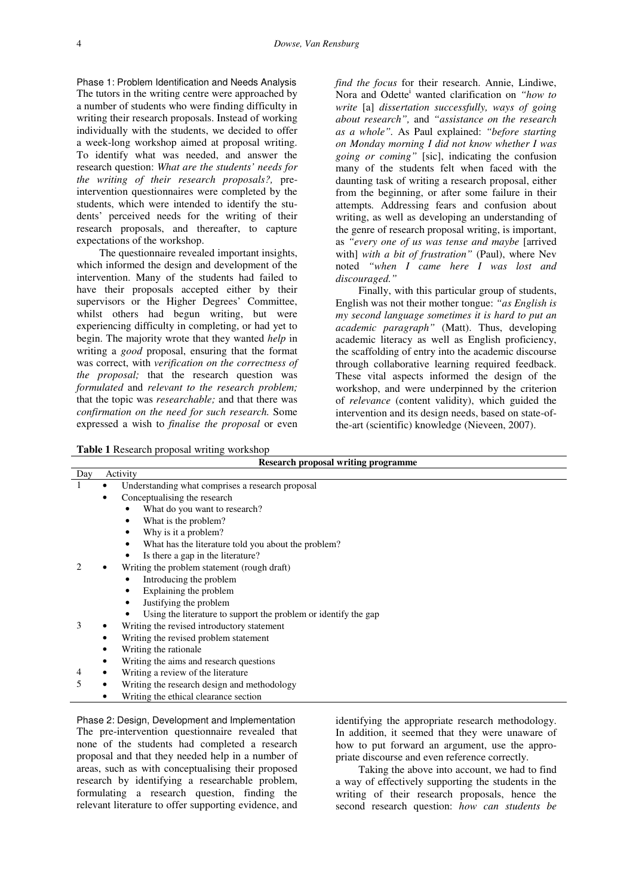Phase 1: Problem Identification and Needs Analysis The tutors in the writing centre were approached by a number of students who were finding difficulty in writing their research proposals. Instead of working individually with the students, we decided to offer a week-long workshop aimed at proposal writing. To identify what was needed, and answer the research question: *What are the students' needs for the writing of their research proposals?,* preintervention questionnaires were completed by the students, which were intended to identify the students' perceived needs for the writing of their research proposals, and thereafter, to capture expectations of the workshop.

The questionnaire revealed important insights, which informed the design and development of the intervention. Many of the students had failed to have their proposals accepted either by their supervisors or the Higher Degrees' Committee, whilst others had begun writing, but were experiencing difficulty in completing, or had yet to begin. The majority wrote that they wanted *help* in writing a *good* proposal, ensuring that the format was correct, with *verification on the correctness of the proposal;* that the research question was *formulated* and *relevant to the research problem;*  that the topic was *researchable;* and that there was *confirmation on the need for such research.* Some expressed a wish to *finalise the proposal* or even

*find the focus* for their research. Annie, Lindiwe, Nora and Odette<sup>i</sup> wanted clarification on *"how to write* [a] *dissertation successfully, ways of going about research",* and *"assistance on the research as a whole".* As Paul explained: *"before starting on Monday morning I did not know whether I was going or coming"* [sic], indicating the confusion many of the students felt when faced with the daunting task of writing a research proposal, either from the beginning, or after some failure in their attempts*.* Addressing fears and confusion about writing, as well as developing an understanding of the genre of research proposal writing, is important, as *"every one of us was tense and maybe* [arrived with] *with a bit of frustration"* (Paul), where Nev noted *"when I came here I was lost and discouraged."* 

Finally, with this particular group of students, English was not their mother tongue: *"as English is my second language sometimes it is hard to put an academic paragraph"* (Matt). Thus, developing academic literacy as well as English proficiency, the scaffolding of entry into the academic discourse through collaborative learning required feedback. These vital aspects informed the design of the workshop, and were underpinned by the criterion of *relevance* (content validity), which guided the intervention and its design needs, based on state-ofthe-art (scientific) knowledge (Nieveen, 2007).

**Table 1** Research proposal writing workshop

| Research proposal writing programme |                                             |                                                                 |  |  |
|-------------------------------------|---------------------------------------------|-----------------------------------------------------------------|--|--|
| Day                                 |                                             | Activity                                                        |  |  |
|                                     |                                             | Understanding what comprises a research proposal                |  |  |
|                                     |                                             | Conceptualising the research                                    |  |  |
|                                     |                                             | What do you want to research?                                   |  |  |
|                                     |                                             | What is the problem?                                            |  |  |
|                                     |                                             | Why is it a problem?                                            |  |  |
|                                     |                                             | What has the literature told you about the problem?<br>٠        |  |  |
|                                     |                                             | Is there a gap in the literature?<br>٠                          |  |  |
|                                     | Writing the problem statement (rough draft) |                                                                 |  |  |
|                                     |                                             | Introducing the problem                                         |  |  |
|                                     |                                             | Explaining the problem                                          |  |  |
|                                     |                                             | Justifying the problem<br>٠                                     |  |  |
|                                     |                                             | Using the literature to support the problem or identify the gap |  |  |
| 3                                   |                                             | Writing the revised introductory statement                      |  |  |
|                                     |                                             | Writing the revised problem statement                           |  |  |
|                                     |                                             | Writing the rationale.                                          |  |  |
|                                     |                                             | Writing the aims and research questions                         |  |  |
| 4                                   |                                             | Writing a review of the literature.                             |  |  |
| 5                                   |                                             | Writing the research design and methodology                     |  |  |
|                                     |                                             | Writing the ethical clearance section                           |  |  |

Phase 2: Design, Development and Implementation The pre-intervention questionnaire revealed that none of the students had completed a research proposal and that they needed help in a number of areas, such as with conceptualising their proposed research by identifying a researchable problem, formulating a research question, finding the relevant literature to offer supporting evidence, and identifying the appropriate research methodology. In addition, it seemed that they were unaware of how to put forward an argument, use the appropriate discourse and even reference correctly.

Taking the above into account, we had to find a way of effectively supporting the students in the writing of their research proposals, hence the second research question: *how can students be*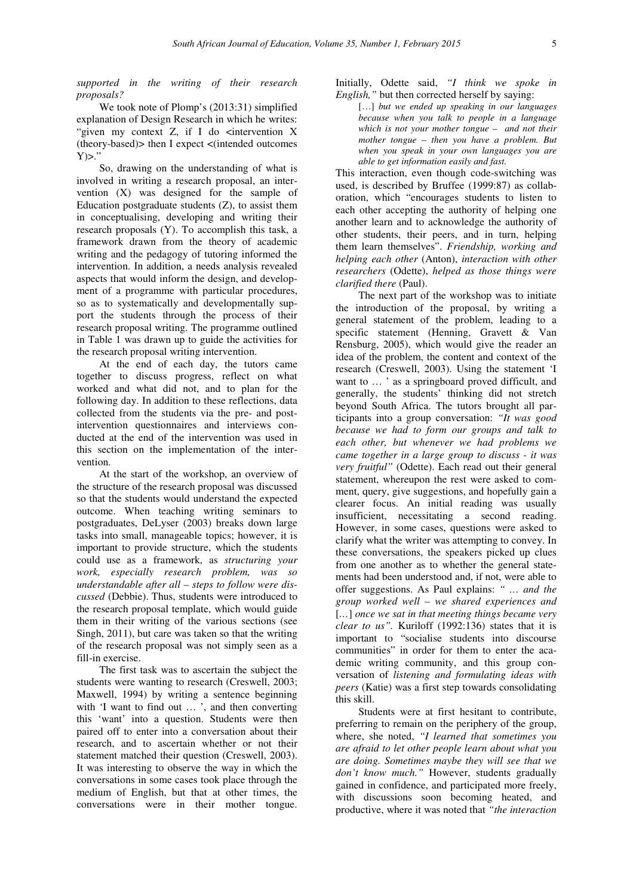*supported in the writing of their research proposals?*

We took note of Plomp's (2013:31) simplified explanation of Design Research in which he writes: "given my context  $Z$ , if I do  $\leq$  intervention X (theory-based)> then I expect <(intended outcomes  $Y$  $>$ ."

So, drawing on the understanding of what is involved in writing a research proposal, an intervention (X) was designed for the sample of Education postgraduate students  $(Z)$ , to assist them in conceptualising, developing and writing their research proposals (Y). To accomplish this task, a framework drawn from the theory of academic writing and the pedagogy of tutoring informed the intervention. In addition, a needs analysis revealed aspects that would inform the design, and development of a programme with particular procedures, so as to systematically and developmentally support the students through the process of their research proposal writing. The programme outlined in Table 1 was drawn up to guide the activities for the research proposal writing intervention.

At the end of each day, the tutors came together to discuss progress, reflect on what worked and what did not, and to plan for the following day. In addition to these reflections, data collected from the students via the pre- and postintervention questionnaires and interviews conducted at the end of the intervention was used in this section on the implementation of the intervention.

At the start of the workshop, an overview of the structure of the research proposal was discussed so that the students would understand the expected outcome. When teaching writing seminars to postgraduates, DeLyser (2003) breaks down large tasks into small, manageable topics; however, it is important to provide structure, which the students could use as a framework, as *structuring your work, especially research problem, was so understandable after all – steps to follow were discussed* (Debbie). Thus, students were introduced to the research proposal template, which would guide them in their writing of the various sections (see Singh, 2011), but care was taken so that the writing of the research proposal was not simply seen as a fill-in exercise.

The first task was to ascertain the subject the students were wanting to research (Creswell, 2003; Maxwell, 1994) by writing a sentence beginning with 'I want to find out ..., and then converting this 'want' into a question. Students were then paired off to enter into a conversation about their research, and to ascertain whether or not their statement matched their question (Creswell, 2003). It was interesting to observe the way in which the conversations in some cases took place through the medium of English, but that at other times, the conversations were in their mother tongue. Initially, Odette said, *"I think we spoke in English,"* but then corrected herself by saying:

[…] *but we ended up speaking in our languages because when you talk to people in a language which is not your mother tongue – and not their mother tongue – then you have a problem. But when you speak in your own languages you are able to get information easily and fast.*

This interaction, even though code-switching was used, is described by Bruffee (1999:87) as collaboration, which "encourages students to listen to each other accepting the authority of helping one another learn and to acknowledge the authority of other students, their peers, and in turn, helping them learn themselves". *Friendship, working and helping each other* (Anton), *interaction with other researchers* (Odette), *helped as those things were clarified there* (Paul).

The next part of the workshop was to initiate the introduction of the proposal, by writing a general statement of the problem, leading to a specific statement (Henning, Gravett & Van Rensburg, 2005), which would give the reader an idea of the problem, the content and context of the research (Creswell, 2003). Using the statement 'I want to … ' as a springboard proved difficult, and generally, the students' thinking did not stretch beyond South Africa. The tutors brought all participants into a group conversation: *"It was good because we had to form our groups and talk to each other, but whenever we had problems we came together in a large group to discuss - it was very fruitful"* (Odette). Each read out their general statement, whereupon the rest were asked to comment, query, give suggestions, and hopefully gain a clearer focus. An initial reading was usually insufficient, necessitating a second reading. However, in some cases, questions were asked to clarify what the writer was attempting to convey. In these conversations, the speakers picked up clues from one another as to whether the general statements had been understood and, if not, were able to offer suggestions. As Paul explains: *" … and the group worked well – we shared experiences and*  [*…*] *once we sat in that meeting things became very clear to us".* Kuriloff (1992:136) states that it is important to "socialise students into discourse communities" in order for them to enter the academic writing community, and this group conversation of *listening and formulating ideas with peers* (Katie) was a first step towards consolidating this skill.

Students were at first hesitant to contribute, preferring to remain on the periphery of the group, where, she noted, *"I learned that sometimes you are afraid to let other people learn about what you are doing. Sometimes maybe they will see that we don't know much."* However, students gradually gained in confidence, and participated more freely, with discussions soon becoming heated, and productive, where it was noted that *"the interaction*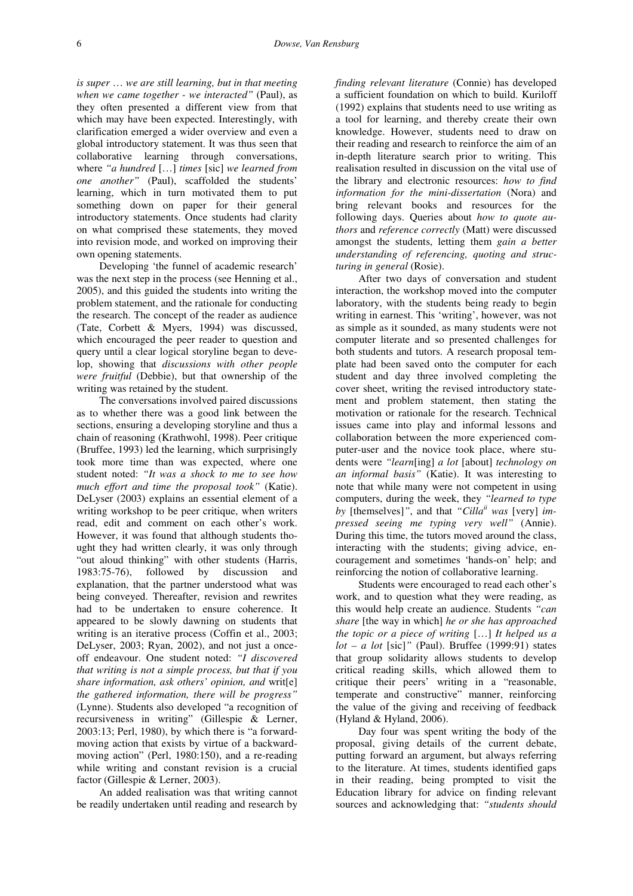*is super* … *we are still learning, but in that meeting when we came together - we interacted"* (Paul), as they often presented a different view from that which may have been expected. Interestingly, with clarification emerged a wider overview and even a global introductory statement. It was thus seen that collaborative learning through conversations, where *"a hundred* […] *times* [sic] *we learned from one another"* (Paul), scaffolded the students' learning, which in turn motivated them to put something down on paper for their general introductory statements. Once students had clarity on what comprised these statements, they moved into revision mode, and worked on improving their own opening statements.

Developing 'the funnel of academic research' was the next step in the process (see Henning et al., 2005), and this guided the students into writing the problem statement, and the rationale for conducting the research. The concept of the reader as audience (Tate, Corbett & Myers, 1994) was discussed, which encouraged the peer reader to question and query until a clear logical storyline began to develop, showing that *discussions with other people were fruitful* (Debbie), but that ownership of the writing was retained by the student.

The conversations involved paired discussions as to whether there was a good link between the sections, ensuring a developing storyline and thus a chain of reasoning (Krathwohl, 1998). Peer critique (Bruffee, 1993) led the learning, which surprisingly took more time than was expected, where one student noted: *"It was a shock to me to see how much effort and time the proposal took"* (Katie). DeLyser (2003) explains an essential element of a writing workshop to be peer critique, when writers read, edit and comment on each other's work. However, it was found that although students thought they had written clearly, it was only through "out aloud thinking" with other students (Harris, 1983:75-76), followed by discussion and explanation, that the partner understood what was being conveyed. Thereafter, revision and rewrites had to be undertaken to ensure coherence. It appeared to be slowly dawning on students that writing is an iterative process (Coffin et al., 2003; DeLyser, 2003; Ryan, 2002), and not just a onceoff endeavour. One student noted: *"I discovered that writing is not a simple process, but that if you share information, ask others' opinion, and* writ[e] *the gathered information, there will be progress"*  (Lynne). Students also developed "a recognition of recursiveness in writing" (Gillespie & Lerner, 2003:13; Perl, 1980), by which there is "a forwardmoving action that exists by virtue of a backwardmoving action" (Perl, 1980:150), and a re-reading while writing and constant revision is a crucial factor (Gillespie & Lerner, 2003).

An added realisation was that writing cannot be readily undertaken until reading and research by *finding relevant literature* (Connie) has developed a sufficient foundation on which to build. Kuriloff (1992) explains that students need to use writing as a tool for learning, and thereby create their own knowledge. However, students need to draw on their reading and research to reinforce the aim of an in-depth literature search prior to writing. This realisation resulted in discussion on the vital use of the library and electronic resources: *how to find information for the mini-dissertation* (Nora) and bring relevant books and resources for the following days. Queries about *how to quote authors* and *reference correctly* (Matt) were discussed amongst the students, letting them *gain a better understanding of referencing, quoting and structuring in general* (Rosie).

After two days of conversation and student interaction, the workshop moved into the computer laboratory, with the students being ready to begin writing in earnest. This 'writing', however, was not as simple as it sounded, as many students were not computer literate and so presented challenges for both students and tutors. A research proposal template had been saved onto the computer for each student and day three involved completing the cover sheet, writing the revised introductory statement and problem statement, then stating the motivation or rationale for the research. Technical issues came into play and informal lessons and collaboration between the more experienced computer-user and the novice took place, where students were *"learn*[ing] *a lot* [about] *technology on an informal basis"* (Katie). It was interesting to note that while many were not competent in using computers, during the week, they *"learned to type*  by [themselves]", and that "Cilla<sup>*ii*</sup> was [very] im*pressed seeing me typing very well"* (Annie). During this time, the tutors moved around the class, interacting with the students; giving advice, encouragement and sometimes 'hands-on' help; and reinforcing the notion of collaborative learning.

Students were encouraged to read each other's work, and to question what they were reading, as this would help create an audience. Students *"can share* [the way in which] *he or she has approached the topic or a piece of writing* […] *It helped us a lot – a lot* [sic]*"* (Paul). Bruffee (1999:91) states that group solidarity allows students to develop critical reading skills, which allowed them to critique their peers' writing in a "reasonable, temperate and constructive" manner, reinforcing the value of the giving and receiving of feedback (Hyland & Hyland, 2006).

Day four was spent writing the body of the proposal, giving details of the current debate, putting forward an argument, but always referring to the literature. At times, students identified gaps in their reading, being prompted to visit the Education library for advice on finding relevant sources and acknowledging that: *"students should*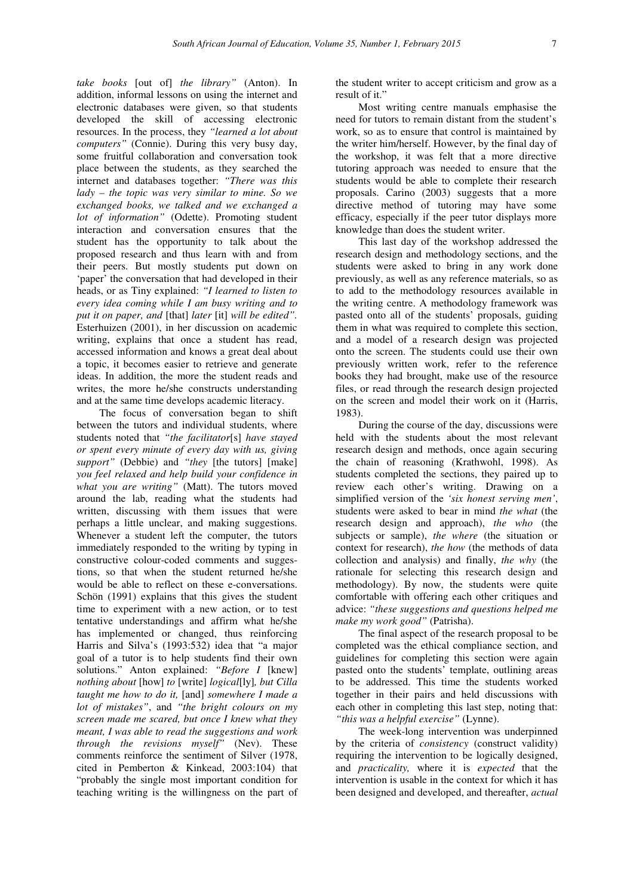*take books* [out of] *the library"* (Anton). In addition, informal lessons on using the internet and electronic databases were given, so that students developed the skill of accessing electronic resources. In the process, they *"learned a lot about computers"* (Connie). During this very busy day, some fruitful collaboration and conversation took place between the students, as they searched the internet and databases together: *"There was this lady – the topic was very similar to mine. So we exchanged books, we talked and we exchanged a lot of information"* (Odette). Promoting student interaction and conversation ensures that the student has the opportunity to talk about the proposed research and thus learn with and from their peers. But mostly students put down on 'paper' the conversation that had developed in their heads, or as Tiny explained: *"I learned to listen to every idea coming while I am busy writing and to put it on paper, and* [that] *later* [it] *will be edited".*  Esterhuizen (2001), in her discussion on academic writing, explains that once a student has read, accessed information and knows a great deal about a topic, it becomes easier to retrieve and generate ideas. In addition, the more the student reads and writes, the more he/she constructs understanding and at the same time develops academic literacy.

The focus of conversation began to shift between the tutors and individual students, where students noted that *"the facilitator*[s] *have stayed or spent every minute of every day with us, giving support"* (Debbie) and *"they* [the tutors] [make] *you feel relaxed and help build your confidence in what you are writing"* (Matt). The tutors moved around the lab, reading what the students had written, discussing with them issues that were perhaps a little unclear, and making suggestions. Whenever a student left the computer, the tutors immediately responded to the writing by typing in constructive colour-coded comments and suggestions, so that when the student returned he/she would be able to reflect on these e-conversations. Schön (1991) explains that this gives the student time to experiment with a new action, or to test tentative understandings and affirm what he/she has implemented or changed, thus reinforcing Harris and Silva's (1993:532) idea that "a major goal of a tutor is to help students find their own solutions." Anton explained: *"Before I* [knew] *nothing about* [how] *to* [write] *logical*[ly]*, but Cilla taught me how to do it,* [and] *somewhere I made a lot of mistakes"*, and *"the bright colours on my screen made me scared, but once I knew what they meant, I was able to read the suggestions and work through the revisions myself"* (Nev). These comments reinforce the sentiment of Silver (1978, cited in Pemberton & Kinkead, 2003:104) that "probably the single most important condition for teaching writing is the willingness on the part of the student writer to accept criticism and grow as a result of it."

Most writing centre manuals emphasise the need for tutors to remain distant from the student's work, so as to ensure that control is maintained by the writer him/herself. However, by the final day of the workshop, it was felt that a more directive tutoring approach was needed to ensure that the students would be able to complete their research proposals. Carino (2003) suggests that a more directive method of tutoring may have some efficacy, especially if the peer tutor displays more knowledge than does the student writer.

This last day of the workshop addressed the research design and methodology sections, and the students were asked to bring in any work done previously, as well as any reference materials, so as to add to the methodology resources available in the writing centre. A methodology framework was pasted onto all of the students' proposals, guiding them in what was required to complete this section, and a model of a research design was projected onto the screen. The students could use their own previously written work, refer to the reference books they had brought, make use of the resource files, or read through the research design projected on the screen and model their work on it (Harris, 1983).

During the course of the day, discussions were held with the students about the most relevant research design and methods, once again securing the chain of reasoning (Krathwohl, 1998). As students completed the sections, they paired up to review each other's writing. Drawing on a simplified version of the *'six honest serving men'*, students were asked to bear in mind *the what* (the research design and approach), *the who* (the subjects or sample), *the where* (the situation or context for research), *the how* (the methods of data collection and analysis) and finally, *the why* (the rationale for selecting this research design and methodology). By now, the students were quite comfortable with offering each other critiques and advice: *"these suggestions and questions helped me make my work good"* (Patrisha).

The final aspect of the research proposal to be completed was the ethical compliance section, and guidelines for completing this section were again pasted onto the students' template, outlining areas to be addressed. This time the students worked together in their pairs and held discussions with each other in completing this last step, noting that: *"this was a helpful exercise"* (Lynne).

The week-long intervention was underpinned by the criteria of *consistency* (construct validity) requiring the intervention to be logically designed, and *practicality,* where it is *expected* that the intervention is usable in the context for which it has been designed and developed, and thereafter, *actual*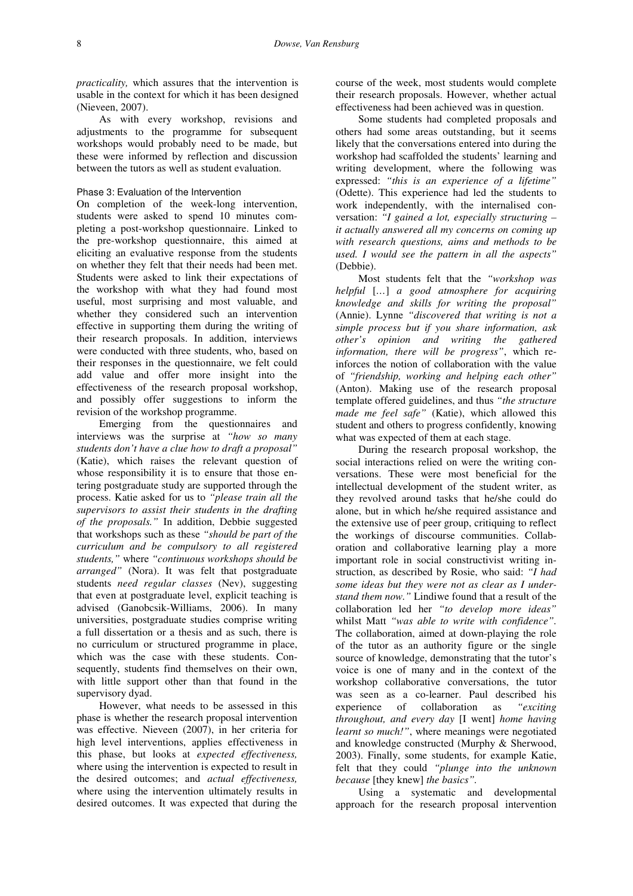*practicality,* which assures that the intervention is usable in the context for which it has been designed (Nieveen, 2007).

As with every workshop, revisions and adjustments to the programme for subsequent workshops would probably need to be made, but these were informed by reflection and discussion between the tutors as well as student evaluation.

## Phase 3: Evaluation of the Intervention

On completion of the week-long intervention, students were asked to spend 10 minutes completing a post-workshop questionnaire. Linked to the pre-workshop questionnaire, this aimed at eliciting an evaluative response from the students on whether they felt that their needs had been met. Students were asked to link their expectations of the workshop with what they had found most useful, most surprising and most valuable, and whether they considered such an intervention effective in supporting them during the writing of their research proposals. In addition, interviews were conducted with three students, who, based on their responses in the questionnaire, we felt could add value and offer more insight into the effectiveness of the research proposal workshop, and possibly offer suggestions to inform the revision of the workshop programme.

Emerging from the questionnaires and interviews was the surprise at *"how so many students don't have a clue how to draft a proposal"* (Katie), which raises the relevant question of whose responsibility it is to ensure that those entering postgraduate study are supported through the process. Katie asked for us to *"please train all the supervisors to assist their students in the drafting of the proposals."* In addition, Debbie suggested that workshops such as these *"should be part of the curriculum and be compulsory to all registered students,"* where *"continuous workshops should be arranged"* (Nora). It was felt that postgraduate students *need regular classes* (Nev), suggesting that even at postgraduate level, explicit teaching is advised (Ganobcsik-Williams, 2006). In many universities, postgraduate studies comprise writing a full dissertation or a thesis and as such, there is no curriculum or structured programme in place, which was the case with these students. Consequently, students find themselves on their own, with little support other than that found in the supervisory dyad.

However, what needs to be assessed in this phase is whether the research proposal intervention was effective. Nieveen (2007), in her criteria for high level interventions, applies effectiveness in this phase, but looks at *expected effectiveness,*  where using the intervention is expected to result in the desired outcomes; and *actual effectiveness,*  where using the intervention ultimately results in desired outcomes. It was expected that during the course of the week, most students would complete their research proposals. However, whether actual effectiveness had been achieved was in question.

Some students had completed proposals and others had some areas outstanding, but it seems likely that the conversations entered into during the workshop had scaffolded the students' learning and writing development, where the following was expressed: *"this is an experience of a lifetime"* (Odette). This experience had led the students to work independently, with the internalised conversation: *"I gained a lot, especially structuring – it actually answered all my concerns on coming up with research questions, aims and methods to be used. I would see the pattern in all the aspects"*  (Debbie).

Most students felt that the *"workshop was helpful* [*…*] *a good atmosphere for acquiring knowledge and skills for writing the proposal"* (Annie). Lynne *"discovered that writing is not a simple process but if you share information, ask other's opinion and writing the gathered information, there will be progress"*, which reinforces the notion of collaboration with the value of *"friendship, working and helping each other"* (Anton). Making use of the research proposal template offered guidelines, and thus *"the structure made me feel safe"* (Katie), which allowed this student and others to progress confidently, knowing what was expected of them at each stage.

During the research proposal workshop, the social interactions relied on were the writing conversations. These were most beneficial for the intellectual development of the student writer, as they revolved around tasks that he/she could do alone, but in which he/she required assistance and the extensive use of peer group, critiquing to reflect the workings of discourse communities. Collaboration and collaborative learning play a more important role in social constructivist writing instruction, as described by Rosie, who said: *"I had some ideas but they were not as clear as I understand them now."* Lindiwe found that a result of the collaboration led her *"to develop more ideas"*  whilst Matt *"was able to write with confidence".*  The collaboration, aimed at down-playing the role of the tutor as an authority figure or the single source of knowledge, demonstrating that the tutor's voice is one of many and in the context of the workshop collaborative conversations, the tutor was seen as a co-learner. Paul described his experience of collaboration as *"exciting throughout, and every day* [I went] *home having learnt so much!"*, where meanings were negotiated and knowledge constructed (Murphy & Sherwood, 2003). Finally, some students, for example Katie, felt that they could *"plunge into the unknown because* [they knew] *the basics".* 

Using a systematic and developmental approach for the research proposal intervention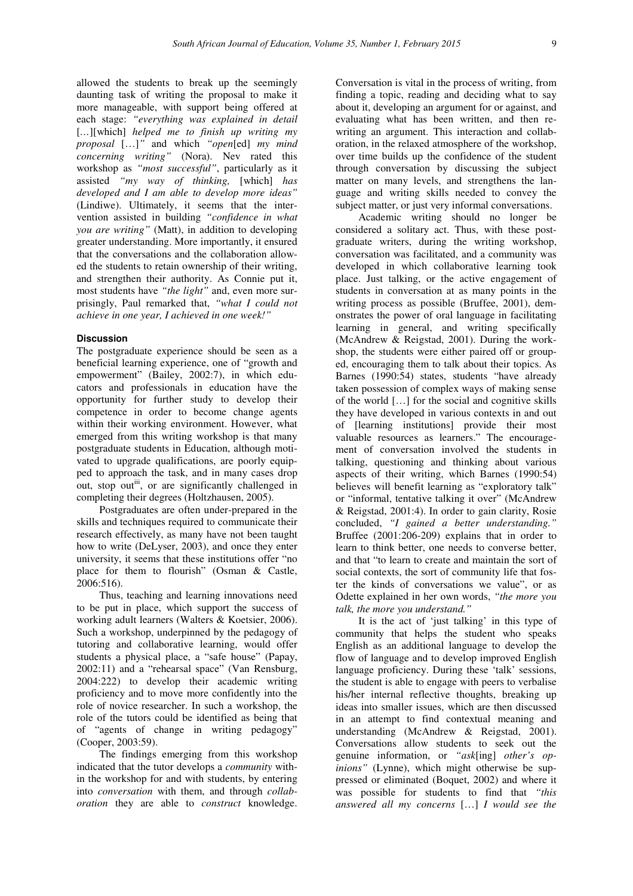allowed the students to break up the seemingly daunting task of writing the proposal to make it more manageable, with support being offered at each stage: *"everything was explained in detail*  [*…*][which] *helped me to finish up writing my proposal* […]*"* and which *"open*[ed] *my mind concerning writing"* (Nora). Nev rated this workshop as *"most successful"*, particularly as it assisted *"my way of thinking,* [which] *has developed and I am able to develop more ideas"*  (Lindiwe). Ultimately, it seems that the intervention assisted in building *"confidence in what you are writing"* (Matt), in addition to developing greater understanding. More importantly, it ensured that the conversations and the collaboration allowed the students to retain ownership of their writing, and strengthen their authority. As Connie put it, most students have *"the light"* and, even more surprisingly, Paul remarked that, *"what I could not achieve in one year, I achieved in one week!"*

### **Discussion**

The postgraduate experience should be seen as a beneficial learning experience, one of "growth and empowerment" (Bailey, 2002:7), in which educators and professionals in education have the opportunity for further study to develop their competence in order to become change agents within their working environment. However, what emerged from this writing workshop is that many postgraduate students in Education, although motivated to upgrade qualifications, are poorly equipped to approach the task, and in many cases drop out, stop out<sup>iii</sup>, or are significantly challenged in completing their degrees (Holtzhausen, 2005).

Postgraduates are often under-prepared in the skills and techniques required to communicate their research effectively, as many have not been taught how to write (DeLyser, 2003), and once they enter university, it seems that these institutions offer "no place for them to flourish" (Osman & Castle, 2006:516).

Thus, teaching and learning innovations need to be put in place, which support the success of working adult learners (Walters & Koetsier, 2006). Such a workshop, underpinned by the pedagogy of tutoring and collaborative learning, would offer students a physical place, a "safe house" (Papay, 2002:11) and a "rehearsal space" (Van Rensburg, 2004:222) to develop their academic writing proficiency and to move more confidently into the role of novice researcher. In such a workshop, the role of the tutors could be identified as being that of "agents of change in writing pedagogy" (Cooper, 2003:59).

The findings emerging from this workshop indicated that the tutor develops a *community* within the workshop for and with students, by entering into *conversation* with them, and through *collaboration* they are able to *construct* knowledge. Conversation is vital in the process of writing, from finding a topic, reading and deciding what to say about it, developing an argument for or against, and evaluating what has been written, and then rewriting an argument. This interaction and collaboration, in the relaxed atmosphere of the workshop, over time builds up the confidence of the student through conversation by discussing the subject matter on many levels, and strengthens the language and writing skills needed to convey the subject matter, or just very informal conversations.

Academic writing should no longer be considered a solitary act. Thus, with these postgraduate writers, during the writing workshop, conversation was facilitated, and a community was developed in which collaborative learning took place. Just talking, or the active engagement of students in conversation at as many points in the writing process as possible (Bruffee, 2001), demonstrates the power of oral language in facilitating learning in general, and writing specifically (McAndrew & Reigstad, 2001). During the workshop, the students were either paired off or grouped, encouraging them to talk about their topics. As Barnes (1990:54) states, students "have already taken possession of complex ways of making sense of the world […] for the social and cognitive skills they have developed in various contexts in and out of [learning institutions] provide their most valuable resources as learners." The encouragement of conversation involved the students in talking, questioning and thinking about various aspects of their writing, which Barnes (1990:54) believes will benefit learning as "exploratory talk" or "informal, tentative talking it over" (McAndrew & Reigstad, 2001:4). In order to gain clarity, Rosie concluded, *"I gained a better understanding."*  Bruffee (2001:206-209) explains that in order to learn to think better, one needs to converse better, and that "to learn to create and maintain the sort of social contexts, the sort of community life that foster the kinds of conversations we value", or as Odette explained in her own words, *"the more you talk, the more you understand."* 

It is the act of 'just talking' in this type of community that helps the student who speaks English as an additional language to develop the flow of language and to develop improved English language proficiency. During these 'talk' sessions, the student is able to engage with peers to verbalise his/her internal reflective thoughts, breaking up ideas into smaller issues, which are then discussed in an attempt to find contextual meaning and understanding (McAndrew & Reigstad, 2001). Conversations allow students to seek out the genuine information, or *"ask*[ing] *other's opinions"* (Lynne), which might otherwise be suppressed or eliminated (Boquet, 2002) and where it was possible for students to find that *"this answered all my concerns* […] *I would see the*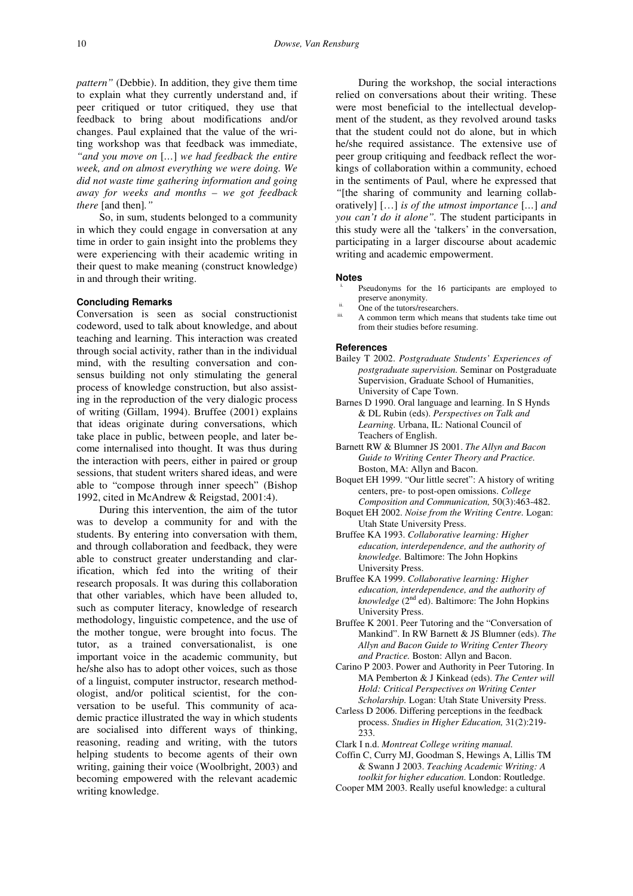*pattern"* (Debbie). In addition, they give them time to explain what they currently understand and, if peer critiqued or tutor critiqued, they use that feedback to bring about modifications and/or changes. Paul explained that the value of the writing workshop was that feedback was immediate, *"and you move on* [*…*] *we had feedback the entire week, and on almost everything we were doing. We did not waste time gathering information and going away for weeks and months – we got feedback there* [and then]*."* 

So, in sum, students belonged to a community in which they could engage in conversation at any time in order to gain insight into the problems they were experiencing with their academic writing in their quest to make meaning (construct knowledge) in and through their writing.

### **Concluding Remarks**

Conversation is seen as social constructionist codeword, used to talk about knowledge, and about teaching and learning. This interaction was created through social activity, rather than in the individual mind, with the resulting conversation and consensus building not only stimulating the general process of knowledge construction, but also assisting in the reproduction of the very dialogic process of writing (Gillam, 1994). Bruffee (2001) explains that ideas originate during conversations, which take place in public, between people, and later become internalised into thought. It was thus during the interaction with peers, either in paired or group sessions, that student writers shared ideas, and were able to "compose through inner speech" (Bishop 1992, cited in McAndrew & Reigstad, 2001:4).

During this intervention, the aim of the tutor was to develop a community for and with the students. By entering into conversation with them, and through collaboration and feedback, they were able to construct greater understanding and clarification, which fed into the writing of their research proposals. It was during this collaboration that other variables, which have been alluded to, such as computer literacy, knowledge of research methodology, linguistic competence, and the use of the mother tongue, were brought into focus. The tutor, as a trained conversationalist, is one important voice in the academic community, but he/she also has to adopt other voices, such as those of a linguist, computer instructor, research methodologist, and/or political scientist, for the conversation to be useful. This community of academic practice illustrated the way in which students are socialised into different ways of thinking, reasoning, reading and writing, with the tutors helping students to become agents of their own writing, gaining their voice (Woolbright, 2003) and becoming empowered with the relevant academic writing knowledge.

During the workshop, the social interactions relied on conversations about their writing. These were most beneficial to the intellectual development of the student, as they revolved around tasks that the student could not do alone, but in which he/she required assistance. The extensive use of peer group critiquing and feedback reflect the workings of collaboration within a community, echoed in the sentiments of Paul, where he expressed that *"*[the sharing of community and learning collaboratively] […] *is of the utmost importance* [*…*] *and you can't do it alone".* The student participants in this study were all the 'talkers' in the conversation, participating in a larger discourse about academic writing and academic empowerment.

#### **Notes**

- Pseudonyms for the 16 participants are employed to preserve anonymity.
- ii. One of the tutors/researchers.
- A common term which means that students take time out from their studies before resuming.

#### **References**

- Bailey T 2002. *Postgraduate Students' Experiences of postgraduate supervision.* Seminar on Postgraduate Supervision, Graduate School of Humanities, University of Cape Town.
- Barnes D 1990. Oral language and learning. In S Hynds & DL Rubin (eds). *Perspectives on Talk and Learning.* Urbana, IL: National Council of Teachers of English.
- Barnett RW & Blumner JS 2001. *The Allyn and Bacon Guide to Writing Center Theory and Practice.*  Boston, MA: Allyn and Bacon.
- Boquet EH 1999. "Our little secret": A history of writing centers, pre- to post-open omissions. *College Composition and Communication,* 50(3):463-482.
- Boquet EH 2002. *Noise from the Writing Centre.* Logan: Utah State University Press.
- Bruffee KA 1993. *Collaborative learning: Higher education, interdependence, and the authority of knowledge.* Baltimore: The John Hopkins University Press.
- Bruffee KA 1999. *Collaborative learning: Higher education, interdependence, and the authority of knowledge* (2nd ed). Baltimore: The John Hopkins University Press.
- Bruffee K 2001. Peer Tutoring and the "Conversation of Mankind". In RW Barnett & JS Blumner (eds). *The Allyn and Bacon Guide to Writing Center Theory and Practice.* Boston: Allyn and Bacon.
- Carino P 2003. Power and Authority in Peer Tutoring. In MA Pemberton & J Kinkead (eds). *The Center will Hold: Critical Perspectives on Writing Center Scholarship.* Logan: Utah State University Press.
- Carless D 2006. Differing perceptions in the feedback process. *Studies in Higher Education,* 31(2):219- 233.

Clark I n.d. *Montreat College writing manual.*

- Coffin C, Curry MJ, Goodman S, Hewings A, Lillis TM & Swann J 2003. *Teaching Academic Writing: A toolkit for higher education.* London: Routledge.
- Cooper MM 2003. Really useful knowledge: a cultural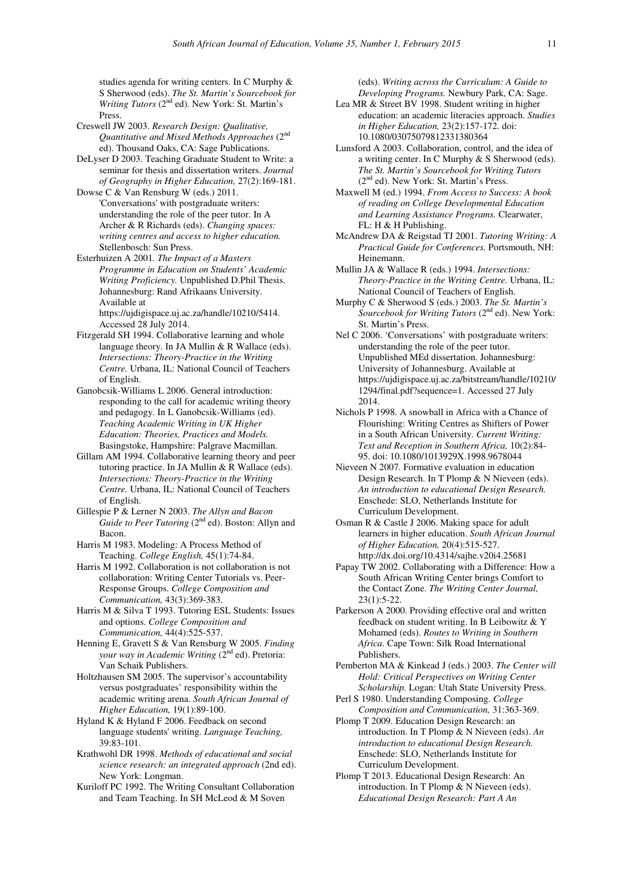studies agenda for writing centers. In C Murphy & S Sherwood (eds). *The St. Martin's Sourcebook for Writing Tutors* (2<sup>nd</sup> ed). New York: St. Martin's Press.

- Creswell JW 2003. *Research Design: Qualitative, Quantitative and Mixed Methods Approaches* (2nd ed). Thousand Oaks, CA: Sage Publications.
- DeLyser D 2003. Teaching Graduate Student to Write: a seminar for thesis and dissertation writers. *Journal of Geography in Higher Education,* 27(2):169-181.
- Dowse C & Van Rensburg W (eds.) 2011. 'Conversations' with postgraduate writers: understanding the role of the peer tutor. In A Archer & R Richards (eds). *Changing spaces: writing centres and access to higher education.*  Stellenbosch: Sun Press.
- Esterhuizen A 2001*. The Impact of a Masters Programme in Education on Students' Academic Writing Proficiency.* Unpublished D.Phil Thesis. Johannesburg: Rand Afrikaans University. Available at https://ujdigispace.uj.ac.za/handle/10210/5414.

Accessed 28 July 2014.

- Fitzgerald SH 1994. Collaborative learning and whole language theory. In JA Mullin  $&R$  Wallace (eds). *Intersections: Theory-Practice in the Writing Centre.* Urbana, IL: National Council of Teachers of English.
- Ganobcsik-Williams L 2006. General introduction: responding to the call for academic writing theory and pedagogy. In L Ganobcsik-Williams (ed). *Teaching Academic Writing in UK Higher Education: Theories, Practices and Models.* Basingstoke, Hampshire: Palgrave Macmillan.
- Gillam AM 1994. Collaborative learning theory and peer tutoring practice. In JA Mullin & R Wallace (eds). *Intersections: Theory-Practice in the Writing Centre.* Urbana, IL: National Council of Teachers of English.
- Gillespie P & Lerner N 2003. *The Allyn and Bacon Guide to Peer Tutoring (2<sup>nd</sup> ed)*. Boston: Allyn and Bacon.
- Harris M 1983. Modeling: A Process Method of Teaching. *College English,* 45(1):74-84.

Harris M 1992. Collaboration is not collaboration is not collaboration: Writing Center Tutorials vs. Peer-Response Groups. *College Composition and Communication,* 43(3):369-383.

Harris M & Silva T 1993. Tutoring ESL Students: Issues and options. *College Composition and Communication,* 44(4):525-537.

Henning E, Gravett S & Van Rensburg W 2005. *Finding your way in Academic Writing* ( $2<sup>nd</sup>$  ed). Pretoria: Van Schaik Publishers.

Holtzhausen SM 2005. The supervisor's accountability versus postgraduates' responsibility within the academic writing arena. *South African Journal of Higher Education,* 19(1):89-100.

Hyland K & Hyland F 2006. Feedback on second language students' writing. *Language Teaching,*  39:83-101.

Krathwohl DR 1998. *Methods of educational and social science research: an integrated approach* (2nd ed). New York: Longman.

Kuriloff PC 1992. The Writing Consultant Collaboration and Team Teaching. In SH McLeod & M Soven

(eds). *Writing across the Curriculum: A Guide to Developing Programs.* Newbury Park, CA: Sage.

- Lea MR & Street BV 1998. Student writing in higher education: an academic literacies approach. *Studies in Higher Education,* 23(2):157-172. doi: 10.1080/03075079812331380364
- Lunsford A 2003. Collaboration, control, and the idea of a writing center. In C Murphy & S Sherwood (eds). *The St. Martin's Sourcebook for Writing Tutors*  (2nd ed). New York: St. Martin's Press.

Maxwell M (ed.) 1994. *From Access to Success: A book of reading on College Developmental Education and Learning Assistance Programs.* Clearwater, FL: H & H Publishing.

McAndrew DA & Reigstad TJ 2001. *Tutoring Writing: A Practical Guide for Conferences.* Portsmouth, NH: Heinemann.

- Mullin JA & Wallace R (eds.) 1994. *Intersections: Theory-Practice in the Writing Centre.* Urbana, IL: National Council of Teachers of English.
- Murphy C & Sherwood S (eds.) 2003. *The St. Martin's Sourcebook for Writing Tutors* (2<sup>nd</sup> ed). New York: St. Martin's Press.
- Nel C 2006. 'Conversations' with postgraduate writers: understanding the role of the peer tutor. Unpublished MEd dissertation. Johannesburg: University of Johannesburg. Available at https://ujdigispace.uj.ac.za/bitstream/handle/10210/ 1294/final.pdf?sequence=1. Accessed 27 July 2014.
- Nichols P 1998. A snowball in Africa with a Chance of Flourishing: Writing Centres as Shifters of Power in a South African University. *Current Writing: Text and Reception in Southern Africa,* 10(2):84- 95. doi: 10.1080/1013929X.1998.9678044

Nieveen N 2007. Formative evaluation in education Design Research. In T Plomp & N Nieveen (eds). *An introduction to educational Design Research.*  Enschede: SLO, Netherlands Institute for Curriculum Development.

Osman R & Castle J 2006. Making space for adult learners in higher education. *South African Journal of Higher Education,* 20(4):515-527. http://dx.doi.org/10.4314/sajhe.v20i4.25681

Papay TW 2002. Collaborating with a Difference: How a South African Writing Center brings Comfort to the Contact Zone. *The Writing Center Journal,*  23(1):5-22.

Parkerson A 2000. Providing effective oral and written feedback on student writing. In B Leibowitz & Y Mohamed (eds). *Routes to Writing in Southern Africa.* Cape Town: Silk Road International Publishers.

Pemberton MA & Kinkead J (eds.) 2003. *The Center will Hold: Critical Perspectives on Writing Center Scholarship.* Logan: Utah State University Press.

Perl S 1980. Understanding Composing. *College Composition and Communication,* 31:363-369.

Plomp T 2009. Education Design Research: an introduction. In T Plomp & N Nieveen (eds). *An introduction to educational Design Research.*  Enschede: SLO, Netherlands Institute for Curriculum Development.

Plomp T 2013. Educational Design Research: An introduction. In T Plomp & N Nieveen (eds). *Educational Design Research: Part A An*